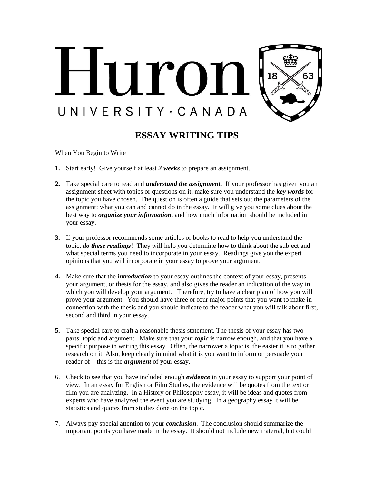

## **ESSAY WRITING TIPS**

When You Begin to Write

- **1.** Start early! Give yourself at least *2 weeks* to prepare an assignment.
- **2.** Take special care to read and *understand the assignment*. If your professor has given you an assignment sheet with topics or questions on it, make sure you understand the *key words* for the topic you have chosen. The question is often a guide that sets out the parameters of the assignment: what you can and cannot do in the essay. It will give you some clues about the best way to *organize your information*, and how much information should be included in your essay.
- **3.** If your professor recommends some articles or books to read to help you understand the topic, *do these readings*! They will help you determine how to think about the subject and what special terms you need to incorporate in your essay. Readings give you the expert opinions that you will incorporate in your essay to prove your argument.
- **4.** Make sure that the *introduction* to your essay outlines the context of your essay, presents your argument, or thesis for the essay, and also gives the reader an indication of the way in which you will develop your argument. Therefore, try to have a clear plan of how you will prove your argument. You should have three or four major points that you want to make in connection with the thesis and you should indicate to the reader what you will talk about first, second and third in your essay.
- **5.** Take special care to craft a reasonable thesis statement. The thesis of your essay has two parts: topic and argument. Make sure that your *topic* is narrow enough, and that you have a specific purpose in writing this essay. Often, the narrower a topic is, the easier it is to gather research on it. Also, keep clearly in mind what it is you want to inform or persuade your reader of – this is the *argument* of your essay.
- 6. Check to see that you have included enough *evidence* in your essay to support your point of view. In an essay for English or Film Studies, the evidence will be quotes from the text or film you are analyzing. In a History or Philosophy essay, it will be ideas and quotes from experts who have analyzed the event you are studying. In a geography essay it will be statistics and quotes from studies done on the topic.
- 7. Always pay special attention to your *conclusion*. The conclusion should summarize the important points you have made in the essay. It should not include new material, but could